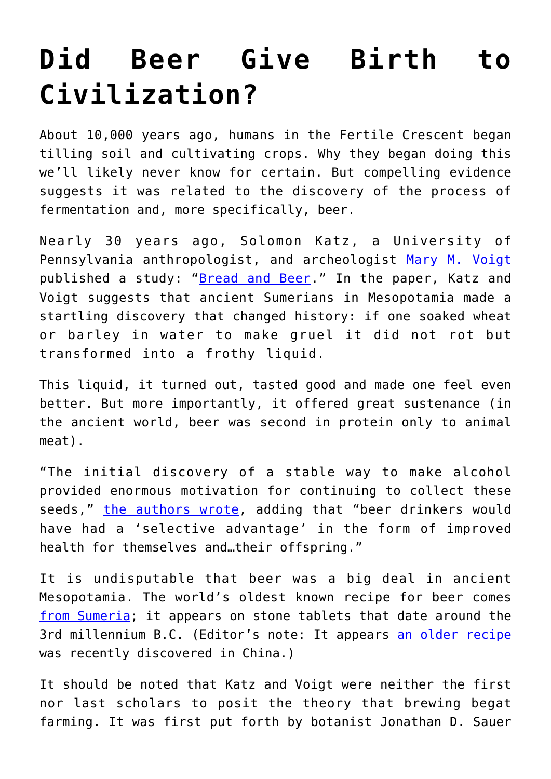## **[Did Beer Give Birth to](https://intellectualtakeout.org/2016/12/did-beer-give-birth-to-civilization/) [Civilization?](https://intellectualtakeout.org/2016/12/did-beer-give-birth-to-civilization/)**

About 10,000 years ago, humans in the Fertile Crescent began tilling soil and cultivating crops. Why they began doing this we'll likely never know for certain. But compelling evidence suggests it was related to the discovery of the process of fermentation and, more specifically, beer.

Nearly 30 years ago, Solomon Katz, a University of Pennsylvania anthropologist, and archeologist [Mary M. Voigt](https://www.archaeological.org/lecturer/marymvoigt) published a study: "[Bread and Beer](https://www.archaeological.org/lecturer/marymvoigt)." In the paper, Katz and Voigt suggests that ancient Sumerians in Mesopotamia made a startling discovery that changed history: if one soaked wheat or barley in water to make gruel it did not rot but transformed into a frothy liquid.

This liquid, it turned out, tasted good and made one feel even better. But more importantly, it offered great sustenance (in the ancient world, beer was second in protein only to animal meat).

"The initial discovery of a stable way to make alcohol provided enormous motivation for continuing to collect these seeds," [the authors wrote](https://www.penn.museum/documents/publications/expedition/PDFs/28-2/Bread.pdf), adding that "beer drinkers would have had a 'selective advantage' in the form of improved health for themselves and…their offspring."

It is undisputable that beer was a big deal in ancient Mesopotamia. The world's oldest known recipe for beer comes [from Sumeria](http://www.openculture.com/2015/03/the-oldest-beer-recipe-in-history.html); it appears on stone tablets that date around the 3rd millennium B.C. (Editor's note: It appears [an older recipe](http://www.npr.org/sections/thesalt/2016/05/23/479186257/5-000-year-old-chinese-beer-recipe-revealed) was recently discovered in China.)

It should be noted that Katz and Voigt were neither the first nor last scholars to posit the theory that brewing begat farming. It was first put forth by botanist Jonathan D. Sauer